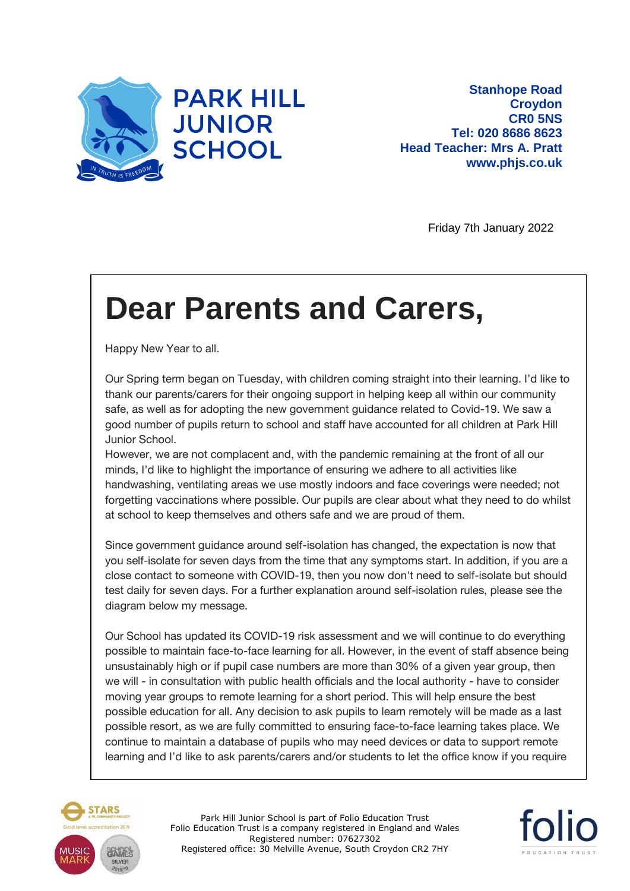

Friday 7th January 2022

## **Dear Parents and Carers,**

Happy New Year to all.

Our Spring term began on Tuesday, with children coming straight into their learning. I'd like to thank our parents/carers for their ongoing support in helping keep all within our community safe, as well as for adopting the new government guidance related to Covid-19. We saw a good number of pupils return to school and staff have accounted for all children at Park Hill Junior School.

However, we are not complacent and, with the pandemic remaining at the front of all our minds, I'd like to highlight the importance of ensuring we adhere to all activities like handwashing, ventilating areas we use mostly indoors and face coverings were needed; not forgetting vaccinations where possible. Our pupils are clear about what they need to do whilst at school to keep themselves and others safe and we are proud of them.

Since government guidance around self-isolation has changed, the expectation is now that you self-isolate for seven days from the time that any symptoms start. In addition, if you are a close contact to someone with COVID-19, then you now don't need to self-isolate but should test daily for seven days. For a further explanation around self-isolation rules, please see the diagram below my message.

Our School has updated its COVID-19 risk assessment and we will continue to do everything possible to maintain face-to-face learning for all. However, in the event of staff absence being unsustainably high or if pupil case numbers are more than 30% of a given year group, then we will - in consultation with public health officials and the local authority - have to consider moving year groups to remote learning for a short period. This will help ensure the best possible education for all. Any decision to ask pupils to learn remotely will be made as a last possible resort, as we are fully committed to ensuring face-to-face learning takes place. We continue to maintain a database of pupils who may need devices or data to support remote learning and I'd like to ask parents/carers and/or students to let the office know if you require



Park Hill Junior School is part of Folio Education Trust Folio Education Trust is a company registered in England and Wales Registered number: 07627302 Registered office: 30 Melville Avenue, South Croydon CR2 7HY